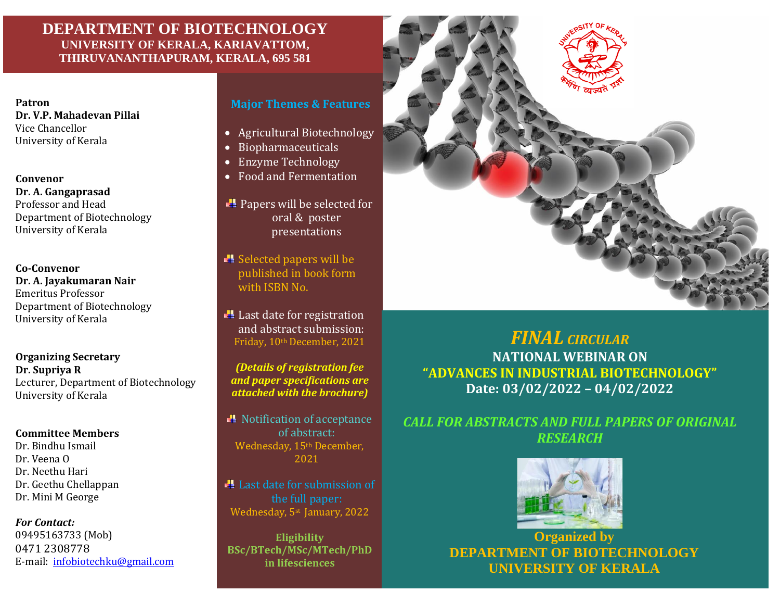#### **DEPARTMENT OF BIOTECHNOLOGY UNIVERSITY OF KERALA, KARIAVATTOM, THIRUVANANTHAPURAM, KERALA, 695 581**

**Dr. V.P. Mahadevan Pillai** Vice Chancellor University of Kerala

**Convenor Dr. A. Gangaprasad** Professor and Head Department of Biotechnology University of Kerala

**Co-Convenor Dr. A. Jayakumaran Nair** Emeritus Professor Department of Biotechnology University of Kerala

**Organizing Secretary Dr. Supriya R** Lecturer, Department of Biotechnology University of Kerala

#### **Committee Members**

Dr. Bindhu Ismail Dr. Veena O Dr. Neethu Hari Dr. Geethu Chellappan Dr. Mini M George

#### *For Contact:*

09495163733 (Mob) 0471 2308778 E-mail: [infobiotechku@gmail.com](mailto:infobiotechku@gmail.com)

#### **Patron Major Themes & Features**

- Agricultural Biotechnology
- Biopharmaceuticals
- Enzyme Technology
- Food and Fermentation

**Papers will be selected for** oral & poster presentations

Selected papers will be published in book form with ISBN No.

 $\blacksquare$  Last date for registration and abstract submission: Friday, 10th December, 2021

*(Details of registration fee and paper specifications are attached with the brochure)*

Notification of acceptance of abstract: Wednesday, 15<sup>th</sup> December, 2021

Last date for submission of the full paper: Wednesday, 5st January, 2022

**Eligibility BSc/BTech/MSc/MTech/PhD in lifesciences**



## *FINAL CIRCULAR*

**NATIONAL WEBINAR ON "ADVANCES IN INDUSTRIAL BIOTECHNOLOGY" Date: 03/02/2022 – 04/02/2022**

### *CALL FOR ABSTRACTS AND FULL PAPERS OF ORIGINAL RESEARCH*



**Organized by DEPARTMENT OF BIOTECHNOLOGY UNIVERSITY OF KERALA**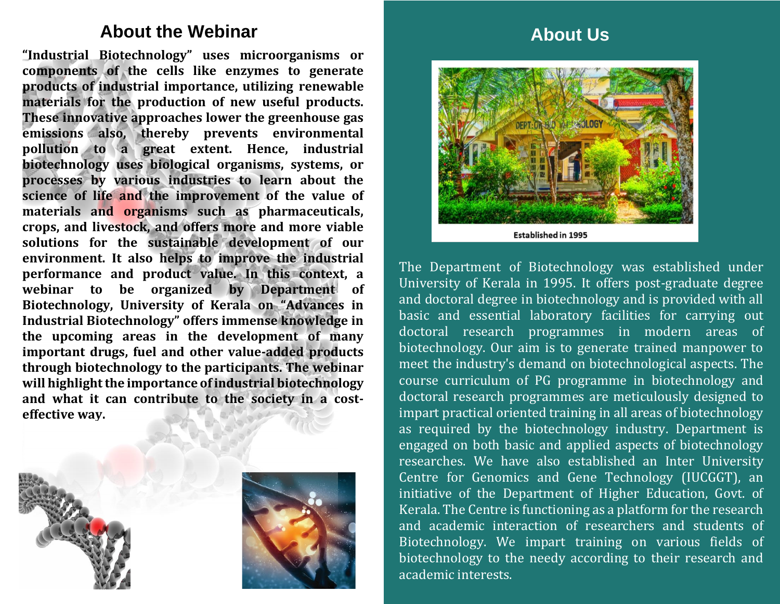## **About the Webinar**

**"Industrial Biotechnology" uses microorganisms or components of the cells like enzymes to generate products of industrial importance, utilizing renewable materials for the production of new useful products. These innovative approaches lower the greenhouse gas emissions also, thereby prevents environmental pollution to a great extent. Hence, industrial biotechnology uses biological organisms, systems, or processes by various industries to learn about the science of life and the improvement of the value of materials and organisms such as pharmaceuticals, crops, and livestock, and offers more and more viable solutions for the sustainable development of our environment. It also helps to improve the industrial performance and product value. In this context, a webinar to be organized by Department of Biotechnology, University of Kerala on "Advances in Industrial Biotechnology" offers immense knowledge in the upcoming areas in the development of many important drugs, fuel and other value-added products through biotechnology to the participants. The webinar will highlight the importance of industrial biotechnology and what it can contribute to the society in a costeffective way.**





# **About Us**



The Department of Biotechnology was established under University of Kerala in 1995. It offers post-graduate degree and doctoral degree in biotechnology and is provided with all basic and essential laboratory facilities for carrying out doctoral research programmes in modern areas of biotechnology. Our aim is to generate trained manpower to meet the industry's demand on biotechnological aspects. The course curriculum of PG programme in biotechnology and doctoral research programmes are meticulously designed to impart practical oriented training in all areas of biotechnology as required by the biotechnology industry. Department is engaged on both basic and applied aspects of biotechnology researches. We have also established an Inter University Centre for Genomics and Gene Technology (IUCGGT), an initiative of the Department of Higher Education, Govt. of Kerala. The Centre is functioning as a platform for the research and academic interaction of researchers and students of Biotechnology. We impart training on various fields of biotechnology to the needy according to their research and academic interests.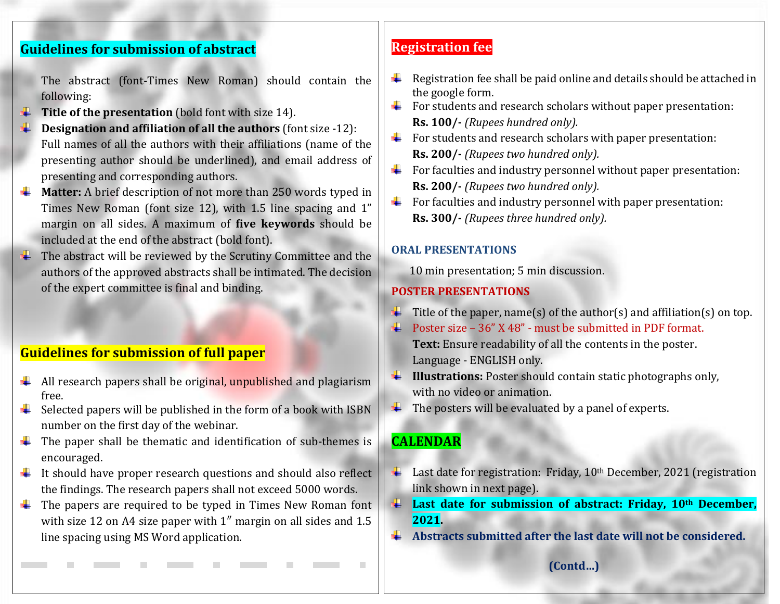### **Guidelines for submission of abstract**

The abstract (font-Times New Roman) should contain the following:

- **Title of the presentation** (bold font with size 14).
- **Designation and affiliation of all the authors** (font size -12): Full names of all the authors with their affiliations (name of the presenting author should be underlined), and email address of presenting and corresponding authors.
- $\frac{1}{\sqrt{1}}$  **Matter:** A brief description of not more than 250 words typed in Times New Roman (font size 12), with 1.5 line spacing and 1" margin on all sides. A maximum of **five keywords** should be included at the end of the abstract (bold font).
- $\ddot{\bullet}$  The abstract will be reviewed by the Scrutiny Committee and the authors of the approved abstracts shall be intimated. The decision of the expert committee is final and binding.

### **Guidelines for submission of full paper**

- $\downarrow$  All research papers shall be original, unpublished and plagiarism free.
- $\ddot{\bullet}$  Selected papers will be published in the form of a book with ISBN number on the first day of the webinar.
- $\ddot{\text{I}}$  The paper shall be thematic and identification of sub-themes is encouraged.
- $\ddot{\phantom{1}}$  It should have proper research questions and should also reflect the findings. The research papers shall not exceed 5000 words.
- $\ddot{\phantom{1}}$  The papers are required to be typed in Times New Roman font with size 12 on A4 size paper with 1" margin on all sides and 1.5 line spacing using MS Word application.

#### **Registration fee**

- ₩. Registration fee shall be paid online and details should be attached in the google form.
- $\overline{\text{F}}$  For students and research scholars without paper presentation: **Rs. 100/-** *(Rupees hundred only).*
- $\overline{\text{F}}$  For students and research scholars with paper presentation: **Rs. 200/-** *(Rupees two hundred only).*
- $\overline{\textbf{F}}$  For faculties and industry personnel without paper presentation: **Rs. 200/-** *(Rupees two hundred only).*
- $\frac{1}{\sqrt{1-\frac{1}{\sqrt{1-\frac{1}{\sqrt{1-\frac{1}{\sqrt{1-\frac{1}{\sqrt{1-\frac{1}{\sqrt{1-\frac{1}{\sqrt{1-\frac{1}{\sqrt{1-\frac{1}{\sqrt{1-\frac{1}{\sqrt{1-\frac{1}{\sqrt{1-\frac{1}{\sqrt{1-\frac{1}{\sqrt{1-\frac{1}{\sqrt{1-\frac{1}{\sqrt{1-\frac{1}{\sqrt{1-\frac{1}{\sqrt{1-\frac{1}{\sqrt{1-\frac{1}{\sqrt{1-\frac{1}{\sqrt{1-\frac{1}{\sqrt{1-\frac{1}{\sqrt{1-\frac{1}{\sqrt{1-\frac{1}{\sqrt{1-\frac{1$ **Rs. 300/-** *(Rupees three hundred only).*

#### **ORAL PRESENTATIONS**

10 min presentation; 5 min discussion.

#### **POSTER PRESENTATIONS**

- $\ddot{\bullet}$  Title of the paper, name(s) of the author(s) and affiliation(s) on top.
- $\overline{\text{4}}$  Poster size 36" X 48" must be submitted in PDF format. **Text:** Ensure readability of all the contents in the poster. Language - ENGLISH only.
- **Illustrations:** Poster should contain static photographs only, with no video or animation.
- $\ddotplus$  The posters will be evaluated by a panel of experts.

#### **CALENDAR**

- Last date for registration: Friday, 10<sup>th</sup> December, 2021 (registration . link shown in next page).
- **Last date for submission of abstract: Friday, 10th December, 2021.**
- **Abstracts submitted after the last date will not be considered.**

**(Contd…)**